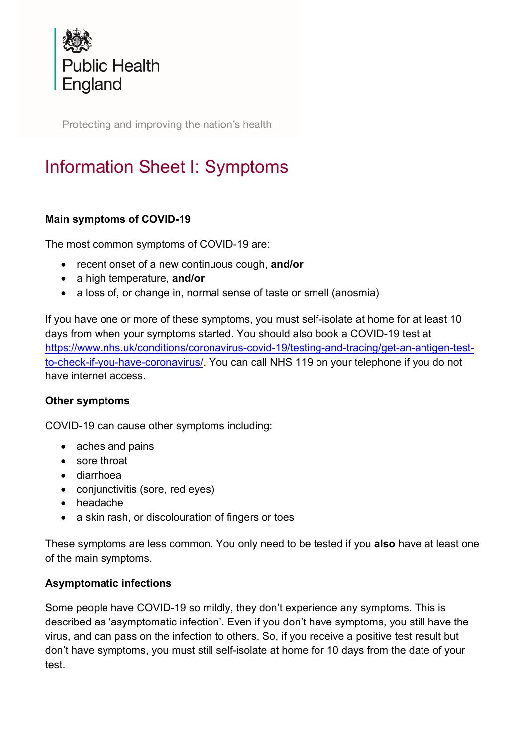

Protecting and improving the nation's health

# Information Sheet I: Symptoms

### Main symptoms of COVID-19

The most common symptoms of COVID-19 are:

- recent onset of a new continuous cough, and/or
- a high temperature, and/or
- a loss of, or change in, normal sense of taste or smell (anosmia)

If you have one or more of these symptoms, you must self-isolate at home for at least 10 days from when your symptoms started. You should also book a COVID-19 test at https://www.nhs.uk/conditions/coronavirus-covid-19/testing-and-tracing/get-an-antigen-testto-check-if-you-have-coronavirus/. You can call NHS 119 on your telephone if you do not have internet access.

### Other symptoms

COVID-19 can cause other symptoms including:

- aches and pains
- sore throat
- diarrhoea
- conjunctivitis (sore, red eyes)
- headache
- a skin rash, or discolouration of fingers or toes

These symptoms are less common. You only need to be tested if you also have at least one of the main symptoms.

### Asymptomatic infections

Some people have COVID-19 so mildly, they don't experience any symptoms. This is described as 'asymptomatic infection'. Even if you don't have symptoms, you still have the virus, and can pass on the infection to others. So, if you receive a positive test result but don't have symptoms, you must still self-isolate at home for 10 days from the date of your test.